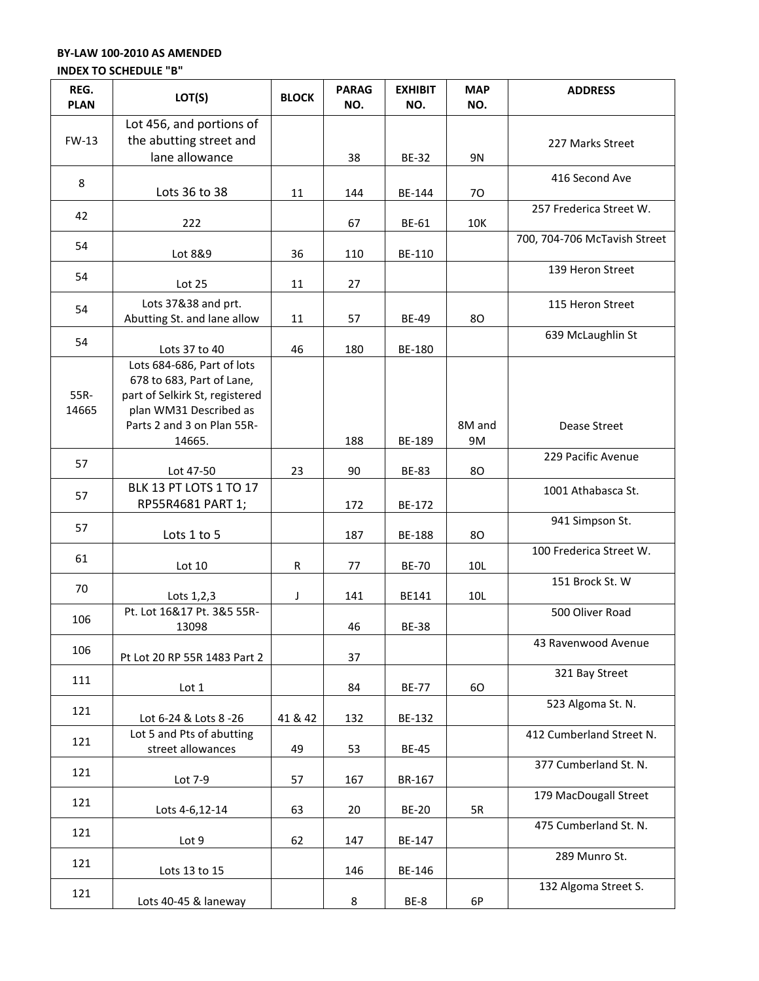## **BY-LAW 100-2010 AS AMENDED**

## **INDEX TO SCHEDULE "B"**

| REG.<br><b>PLAN</b> | LOT(S)                                                                                                                                                      | <b>BLOCK</b> | <b>PARAG</b><br>NO. | <b>EXHIBIT</b><br>NO. | <b>MAP</b><br>NO. | <b>ADDRESS</b>               |
|---------------------|-------------------------------------------------------------------------------------------------------------------------------------------------------------|--------------|---------------------|-----------------------|-------------------|------------------------------|
| <b>FW-13</b>        | Lot 456, and portions of<br>the abutting street and<br>lane allowance                                                                                       |              | 38                  | <b>BE-32</b>          | <b>9N</b>         | 227 Marks Street             |
| 8                   | Lots 36 to 38                                                                                                                                               | 11           | 144                 | BE-144                | 70                | 416 Second Ave               |
| 42                  | 222                                                                                                                                                         |              | 67                  | BE-61                 | 10K               | 257 Frederica Street W.      |
| 54                  | Lot 8&9                                                                                                                                                     | 36           | 110                 | BE-110                |                   | 700, 704-706 McTavish Street |
| 54                  | Lot 25                                                                                                                                                      | 11           | 27                  |                       |                   | 139 Heron Street             |
| 54                  | Lots 37&38 and prt.<br>Abutting St. and lane allow                                                                                                          | 11           | 57                  | <b>BE-49</b>          | 80                | 115 Heron Street             |
| 54                  | Lots 37 to 40                                                                                                                                               | 46           | 180                 | BE-180                |                   | 639 McLaughlin St            |
| 55R-<br>14665       | Lots 684-686, Part of lots<br>678 to 683, Part of Lane,<br>part of Selkirk St, registered<br>plan WM31 Described as<br>Parts 2 and 3 on Plan 55R-<br>14665. |              | 188                 | BE-189                | 8M and<br>9M      | Dease Street                 |
| 57                  | Lot 47-50                                                                                                                                                   | 23           | 90                  | <b>BE-83</b>          | 80                | 229 Pacific Avenue           |
| 57                  | BLK 13 PT LOTS 1 TO 17<br>RP55R4681 PART 1;                                                                                                                 |              | 172                 | BE-172                |                   | 1001 Athabasca St.           |
| 57                  | Lots 1 to 5                                                                                                                                                 |              | 187                 | <b>BE-188</b>         | 80                | 941 Simpson St.              |
| 61                  | Lot 10                                                                                                                                                      | ${\sf R}$    | 77                  | <b>BE-70</b>          | 10L               | 100 Frederica Street W.      |
| 70                  | Lots 1,2,3                                                                                                                                                  | J            | 141                 | BE141                 | 10L               | 151 Brock St. W              |
| 106                 | Pt. Lot 16&17 Pt. 3&5 55R-<br>13098                                                                                                                         |              | 46                  | <b>BE-38</b>          |                   | 500 Oliver Road              |
| 106                 | Pt Lot 20 RP 55R 1483 Part 2                                                                                                                                |              | 37                  |                       |                   | 43 Ravenwood Avenue          |
| 111                 | Lot 1                                                                                                                                                       |              | 84                  | <b>BE-77</b>          | 60                | 321 Bay Street               |
| 121                 | Lot 6-24 & Lots 8 -26                                                                                                                                       | 41 & 42      | 132                 | BE-132                |                   | 523 Algoma St. N.            |
| 121                 | Lot 5 and Pts of abutting<br>street allowances                                                                                                              | 49           | 53                  | <b>BE-45</b>          |                   | 412 Cumberland Street N.     |
| 121                 | Lot 7-9                                                                                                                                                     | 57           | 167                 | BR-167                |                   | 377 Cumberland St. N.        |
| 121                 | Lots 4-6,12-14                                                                                                                                              | 63           | 20                  | <b>BE-20</b>          | 5R                | 179 MacDougall Street        |
| 121                 | Lot 9                                                                                                                                                       | 62           | 147                 | BE-147                |                   | 475 Cumberland St. N.        |
| 121                 | Lots 13 to 15                                                                                                                                               |              | 146                 | BE-146                |                   | 289 Munro St.                |
| 121                 | Lots 40-45 & laneway                                                                                                                                        |              | 8                   | BE-8                  | 6P                | 132 Algoma Street S.         |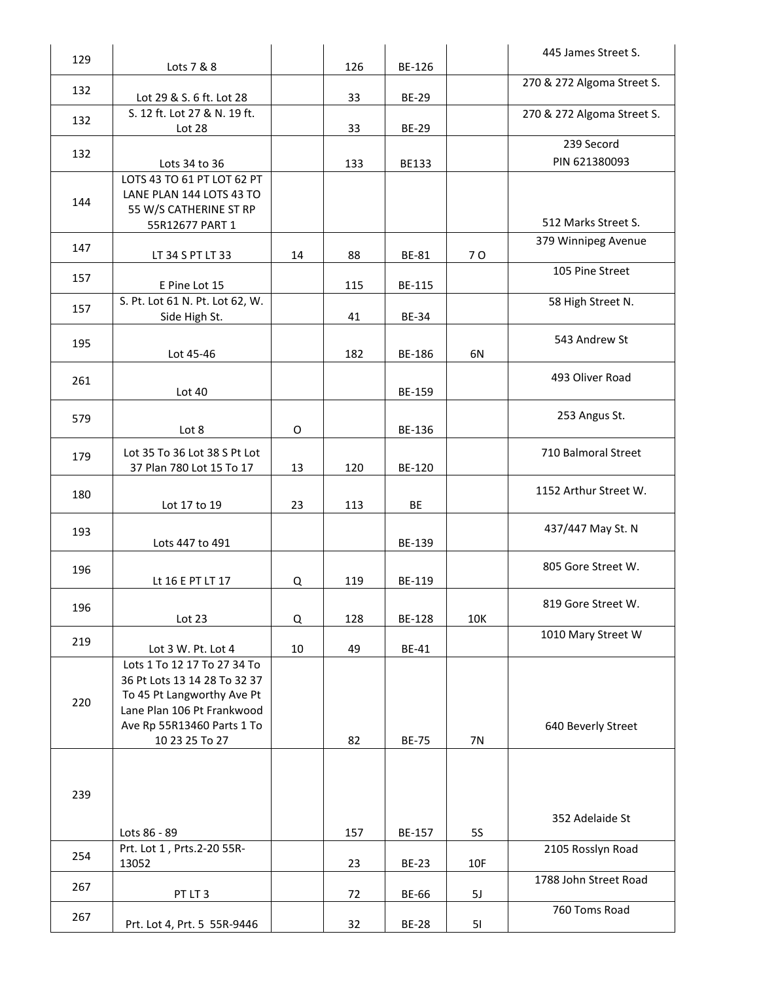| 129 | Lots 7 & 8                                               |         | 126 | BE-126       |            | 445 James Street S.                        |
|-----|----------------------------------------------------------|---------|-----|--------------|------------|--------------------------------------------|
| 132 |                                                          |         |     |              |            | 270 & 272 Algoma Street S.                 |
|     | Lot 29 & S. 6 ft. Lot 28<br>S. 12 ft. Lot 27 & N. 19 ft. |         | 33  | <b>BE-29</b> |            | 270 & 272 Algoma Street S.                 |
| 132 | Lot 28                                                   |         | 33  | <b>BE-29</b> |            |                                            |
| 132 |                                                          |         |     |              |            | 239 Secord                                 |
|     | Lots 34 to 36<br>LOTS 43 TO 61 PT LOT 62 PT              |         | 133 | <b>BE133</b> |            | PIN 621380093                              |
|     | LANE PLAN 144 LOTS 43 TO                                 |         |     |              |            |                                            |
| 144 | 55 W/S CATHERINE ST RP                                   |         |     |              |            |                                            |
|     | 55R12677 PART 1                                          |         |     |              |            | 512 Marks Street S.<br>379 Winnipeg Avenue |
| 147 | LT 34 S PT LT 33                                         | 14      | 88  | <b>BE-81</b> | 70         |                                            |
| 157 | E Pine Lot 15                                            |         | 115 | BE-115       |            | 105 Pine Street                            |
| 157 | S. Pt. Lot 61 N. Pt. Lot 62, W.                          |         |     |              |            | 58 High Street N.                          |
|     | Side High St.                                            |         | 41  | <b>BE-34</b> |            |                                            |
| 195 | Lot 45-46                                                |         | 182 | BE-186       | 6N         | 543 Andrew St                              |
|     |                                                          |         |     |              |            |                                            |
| 261 | Lot 40                                                   |         |     | BE-159       |            | 493 Oliver Road                            |
| 579 |                                                          |         |     |              |            | 253 Angus St.                              |
|     | Lot 8                                                    | $\circ$ |     | BE-136       |            |                                            |
| 179 | Lot 35 To 36 Lot 38 S Pt Lot                             |         |     |              |            | 710 Balmoral Street                        |
|     | 37 Plan 780 Lot 15 To 17                                 | 13      | 120 | BE-120       |            |                                            |
| 180 | Lot 17 to 19                                             | 23      | 113 | BE           |            | 1152 Arthur Street W.                      |
| 193 |                                                          |         |     |              |            | 437/447 May St. N                          |
|     | Lots 447 to 491                                          |         |     | BE-139       |            |                                            |
| 196 |                                                          |         |     |              |            | 805 Gore Street W.                         |
|     | Lt 16 E PT LT 17                                         | Q       | 119 | BE-119       |            |                                            |
| 196 | Lot $23$                                                 | Q       | 128 | BE-128       | 10K        | 819 Gore Street W.                         |
| 219 |                                                          |         |     |              |            | 1010 Mary Street W                         |
|     | Lot 3 W. Pt. Lot 4<br>Lots 1 To 12 17 To 27 34 To        | 10      | 49  | <b>BE-41</b> |            |                                            |
|     | 36 Pt Lots 13 14 28 To 32 37                             |         |     |              |            |                                            |
| 220 | To 45 Pt Langworthy Ave Pt                               |         |     |              |            |                                            |
|     | Lane Plan 106 Pt Frankwood<br>Ave Rp 55R13460 Parts 1 To |         |     |              |            | 640 Beverly Street                         |
|     | 10 23 25 To 27                                           |         | 82  | <b>BE-75</b> | 7N         |                                            |
|     |                                                          |         |     |              |            |                                            |
| 239 |                                                          |         |     |              |            |                                            |
|     |                                                          |         |     |              |            |                                            |
|     | Lots 86 - 89                                             |         | 157 | BE-157       | <b>5S</b>  | 352 Adelaide St                            |
| 254 | Prt. Lot 1, Prts.2-20 55R-                               |         |     |              |            | 2105 Rosslyn Road                          |
|     | 13052                                                    |         | 23  | <b>BE-23</b> | <b>10F</b> | 1788 John Street Road                      |
| 267 | PT LT 3                                                  |         | 72  | BE-66        | 5J         |                                            |
| 267 | Prt. Lot 4, Prt. 5 55R-9446                              |         | 32  | <b>BE-28</b> | 51         | 760 Toms Road                              |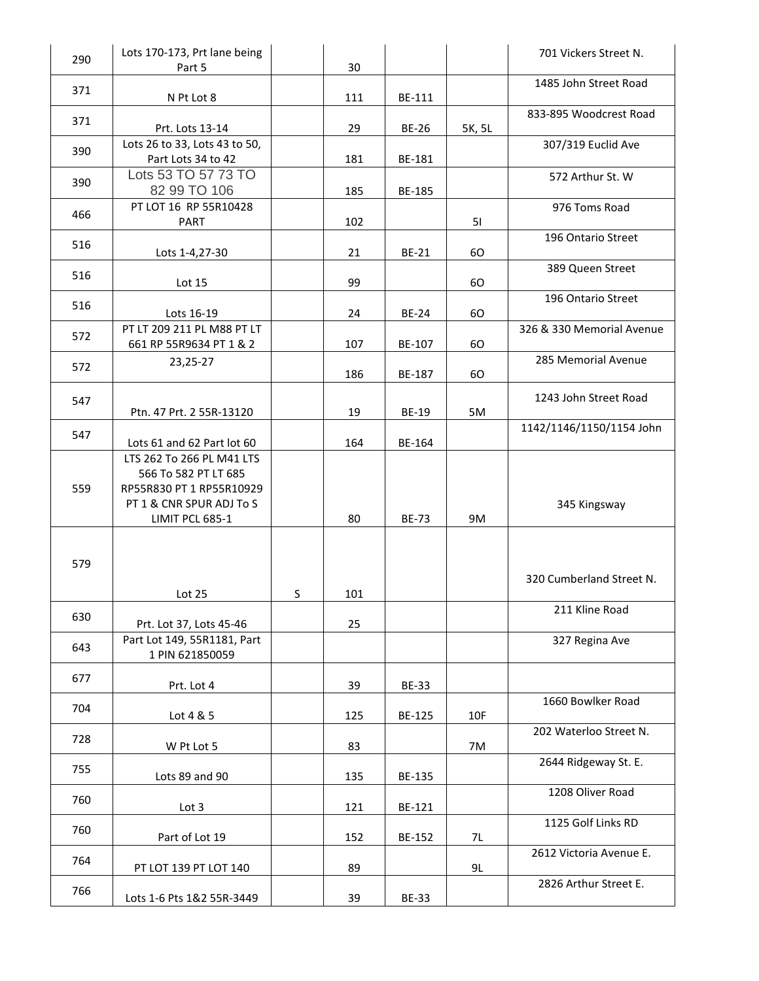| 290 | Lots 170-173, Prt lane being<br>Part 5                                                                    |   | 30  |              |        | 701 Vickers Street N.     |
|-----|-----------------------------------------------------------------------------------------------------------|---|-----|--------------|--------|---------------------------|
| 371 | N Pt Lot 8                                                                                                |   | 111 | BE-111       |        | 1485 John Street Road     |
| 371 |                                                                                                           |   |     |              |        | 833-895 Woodcrest Road    |
|     | Prt. Lots 13-14<br>Lots 26 to 33, Lots 43 to 50,                                                          |   | 29  | <b>BE-26</b> | 5K, 5L | 307/319 Euclid Ave        |
| 390 | Part Lots 34 to 42                                                                                        |   | 181 | BE-181       |        |                           |
| 390 | Lots 53 TO 57 73 TO<br>82 99 TO 106                                                                       |   | 185 | BE-185       |        | 572 Arthur St. W          |
| 466 | PT LOT 16 RP 55R10428<br><b>PART</b>                                                                      |   | 102 |              | 51     | 976 Toms Road             |
| 516 | Lots 1-4,27-30                                                                                            |   | 21  | BE-21        | 60     | 196 Ontario Street        |
| 516 | Lot 15                                                                                                    |   | 99  |              | 60     | 389 Queen Street          |
| 516 | Lots 16-19                                                                                                |   | 24  | <b>BE-24</b> | 60     | 196 Ontario Street        |
| 572 | PT LT 209 211 PL M88 PT LT                                                                                |   |     |              |        | 326 & 330 Memorial Avenue |
| 572 | 661 RP 55R9634 PT 1 & 2<br>23,25-27                                                                       |   | 107 | BE-107       | 60     | 285 Memorial Avenue       |
|     |                                                                                                           |   | 186 | BE-187       | 60     |                           |
| 547 | Ptn. 47 Prt. 2 55R-13120                                                                                  |   | 19  | <b>BE-19</b> | 5M     | 1243 John Street Road     |
| 547 | Lots 61 and 62 Part lot 60                                                                                |   | 164 | BE-164       |        | 1142/1146/1150/1154 John  |
| 559 | LTS 262 To 266 PL M41 LTS<br>566 To 582 PT LT 685<br>RP55R830 PT 1 RP55R10929<br>PT 1 & CNR SPUR ADJ To S |   |     |              |        | 345 Kingsway              |
|     | LIMIT PCL 685-1                                                                                           |   | 80  | <b>BE-73</b> | 9M     |                           |
| 579 | Lot 25                                                                                                    | S | 101 |              |        | 320 Cumberland Street N.  |
| 630 |                                                                                                           |   |     |              |        | 211 Kline Road            |
| 643 | Prt. Lot 37, Lots 45-46<br>Part Lot 149, 55R1181, Part<br>1 PIN 621850059                                 |   | 25  |              |        | 327 Regina Ave            |
| 677 | Prt. Lot 4                                                                                                |   | 39  | <b>BE-33</b> |        |                           |
| 704 | Lot 4 & 5                                                                                                 |   | 125 | BE-125       | 10F    | 1660 Bowlker Road         |
| 728 | W Pt Lot 5                                                                                                |   | 83  |              | 7M     | 202 Waterloo Street N.    |
| 755 | Lots 89 and 90                                                                                            |   | 135 | BE-135       |        | 2644 Ridgeway St. E.      |
| 760 | Lot 3                                                                                                     |   | 121 | BE-121       |        | 1208 Oliver Road          |
| 760 | Part of Lot 19                                                                                            |   | 152 | BE-152       | 7L     | 1125 Golf Links RD        |
| 764 | PT LOT 139 PT LOT 140                                                                                     |   | 89  |              | 9L     | 2612 Victoria Avenue E.   |
| 766 | Lots 1-6 Pts 1&2 55R-3449                                                                                 |   | 39  | <b>BE-33</b> |        | 2826 Arthur Street E.     |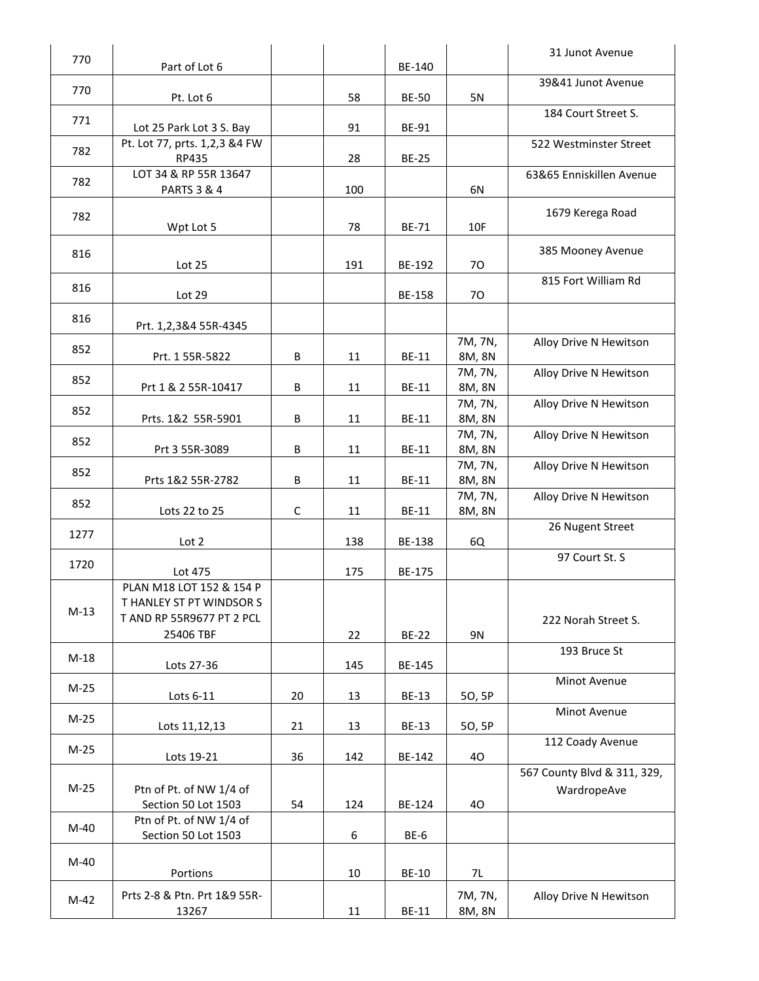| 770    |                                                       |             |     |               |                   | 31 Junot Avenue             |
|--------|-------------------------------------------------------|-------------|-----|---------------|-------------------|-----------------------------|
|        | Part of Lot 6                                         |             |     | BE-140        |                   | 39&41 Junot Avenue          |
| 770    | Pt. Lot 6                                             |             | 58  | <b>BE-50</b>  | 5N                |                             |
| 771    |                                                       |             |     |               |                   | 184 Court Street S.         |
|        | Lot 25 Park Lot 3 S. Bay                              |             | 91  | <b>BE-91</b>  |                   |                             |
| 782    | Pt. Lot 77, prts. 1,2,3 &4 FW                         |             |     | <b>BE-25</b>  |                   | 522 Westminster Street      |
|        | RP435<br>LOT 34 & RP 55R 13647                        |             | 28  |               |                   | 63&65 Enniskillen Avenue    |
| 782    | <b>PARTS 3 &amp; 4</b>                                |             | 100 |               | 6N                |                             |
|        |                                                       |             |     |               |                   |                             |
| 782    | Wpt Lot 5                                             |             | 78  | <b>BE-71</b>  | 10F               | 1679 Kerega Road            |
|        |                                                       |             |     |               |                   |                             |
| 816    | Lot 25                                                |             | 191 | BE-192        | 70                | 385 Mooney Avenue           |
|        |                                                       |             |     |               |                   | 815 Fort William Rd         |
| 816    | Lot 29                                                |             |     | <b>BE-158</b> | 70                |                             |
| 816    |                                                       |             |     |               |                   |                             |
|        | Prt. 1,2,3&4 55R-4345                                 |             |     |               |                   |                             |
| 852    |                                                       |             |     |               | 7M, 7N,           | Alloy Drive N Hewitson      |
|        | Prt. 1 55R-5822                                       | B           | 11  | <b>BE-11</b>  | 8M, 8N            |                             |
| 852    | Prt 1 & 2 55R-10417                                   | B           | 11  | <b>BE-11</b>  | 7M, 7N,<br>8M, 8N | Alloy Drive N Hewitson      |
|        |                                                       |             |     |               | 7M, 7N,           | Alloy Drive N Hewitson      |
| 852    | Prts. 1&2 55R-5901                                    | B           | 11  | <b>BE-11</b>  | 8M, 8N            |                             |
| 852    |                                                       |             |     |               | 7M, 7N,           | Alloy Drive N Hewitson      |
|        | Prt 3 55R-3089                                        | B           | 11  | <b>BE-11</b>  | 8M, 8N            |                             |
| 852    |                                                       |             |     |               | 7M, 7N,           | Alloy Drive N Hewitson      |
|        | Prts 1&2 55R-2782                                     | В           | 11  | <b>BE-11</b>  | 8M, 8N            |                             |
| 852    | Lots 22 to 25                                         | $\mathsf C$ | 11  | <b>BE-11</b>  | 7M, 7N,<br>8M, 8N | Alloy Drive N Hewitson      |
|        |                                                       |             |     |               |                   | 26 Nugent Street            |
| 1277   | Lot 2                                                 |             | 138 | BE-138        | 6Q                |                             |
| 1720   |                                                       |             |     |               |                   | 97 Court St. S              |
|        | Lot 475                                               |             | 175 | BE-175        |                   |                             |
|        | PLAN M18 LOT 152 & 154 P                              |             |     |               |                   |                             |
| $M-13$ | T HANLEY ST PT WINDSOR S<br>T AND RP 55R9677 PT 2 PCL |             |     |               |                   |                             |
|        | 25406 TBF                                             |             | 22  | <b>BE-22</b>  | 9N                | 222 Norah Street S.         |
|        |                                                       |             |     |               |                   | 193 Bruce St                |
| $M-18$ | Lots 27-36                                            |             | 145 | BE-145        |                   |                             |
| $M-25$ |                                                       |             |     |               |                   | Minot Avenue                |
|        | Lots 6-11                                             | 20          | 13  | <b>BE-13</b>  | 50, 5P            |                             |
| $M-25$ | Lots 11,12,13                                         | 21          | 13  | <b>BE-13</b>  | 50, 5P            | Minot Avenue                |
|        |                                                       |             |     |               |                   | 112 Coady Avenue            |
| $M-25$ | Lots 19-21                                            | 36          | 142 | BE-142        | 40                |                             |
|        |                                                       |             |     |               |                   | 567 County Blvd & 311, 329, |
| $M-25$ | Ptn of Pt. of NW 1/4 of                               |             |     |               |                   | WardropeAve                 |
|        | Section 50 Lot 1503                                   | 54          | 124 | BE-124        | 40                |                             |
| M-40   | Ptn of Pt. of NW 1/4 of                               |             |     |               |                   |                             |
|        | Section 50 Lot 1503                                   |             | 6   | BE-6          |                   |                             |
| M-40   |                                                       |             |     |               |                   |                             |
|        | Portions                                              |             | 10  | <b>BE-10</b>  | 7L                |                             |
| $M-42$ | Prts 2-8 & Ptn. Prt 1&9 55R-                          |             |     |               | 7M, 7N,           | Alloy Drive N Hewitson      |
|        | 13267                                                 |             | 11  | <b>BE-11</b>  | 8M, 8N            |                             |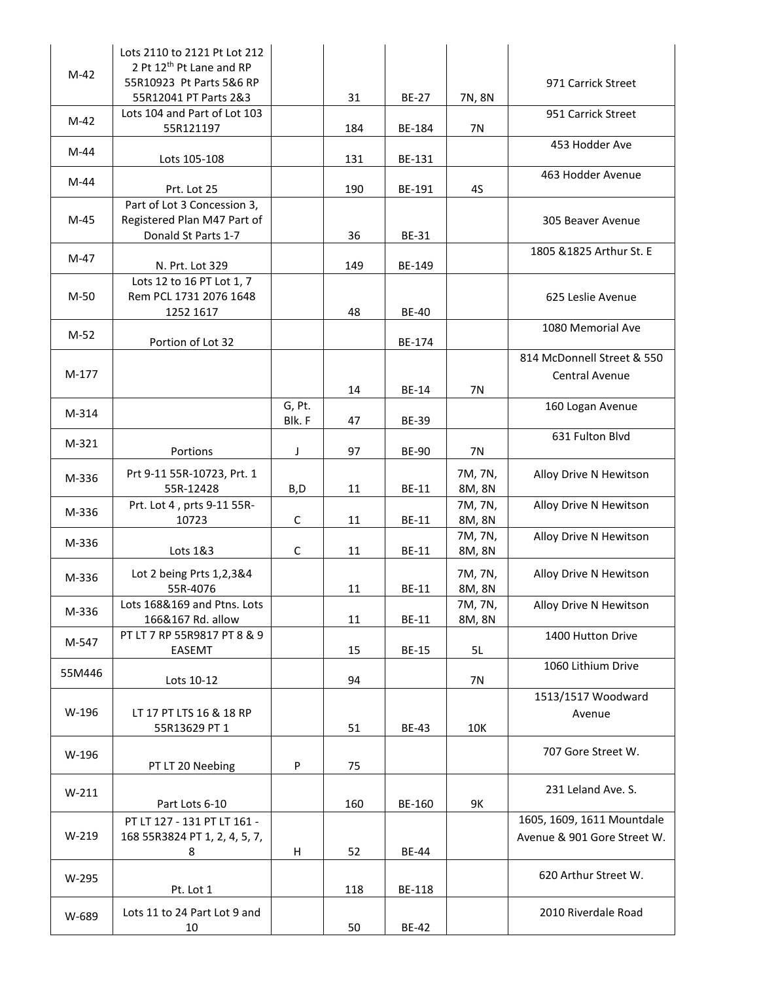| $M-42$  | Lots 2110 to 2121 Pt Lot 212<br>2 Pt 12 <sup>th</sup> Pt Lane and RP<br>55R10923 Pt Parts 5&6 RP<br>55R12041 PT Parts 2&3 |                  | 31  | <b>BE-27</b> | 7N, 8N            | 971 Carrick Street                                        |
|---------|---------------------------------------------------------------------------------------------------------------------------|------------------|-----|--------------|-------------------|-----------------------------------------------------------|
| $M-42$  | Lots 104 and Part of Lot 103<br>55R121197                                                                                 |                  | 184 | BE-184       | <b>7N</b>         | 951 Carrick Street                                        |
| $M-44$  | Lots 105-108                                                                                                              |                  | 131 | BE-131       |                   | 453 Hodder Ave                                            |
| $M-44$  | Prt. Lot 25                                                                                                               |                  | 190 | BE-191       | 4S                | 463 Hodder Avenue                                         |
| M-45    | Part of Lot 3 Concession 3,<br>Registered Plan M47 Part of<br>Donald St Parts 1-7                                         |                  | 36  | <b>BE-31</b> |                   | 305 Beaver Avenue                                         |
| M-47    | N. Prt. Lot 329                                                                                                           |                  | 149 | BE-149       |                   | 1805 & 1825 Arthur St. E                                  |
| M-50    | Lots 12 to 16 PT Lot 1, 7<br>Rem PCL 1731 2076 1648<br>1252 1617                                                          |                  | 48  | <b>BE-40</b> |                   | 625 Leslie Avenue                                         |
| $M-52$  | Portion of Lot 32                                                                                                         |                  |     | BE-174       |                   | 1080 Memorial Ave                                         |
| $M-177$ |                                                                                                                           |                  | 14  | <b>BE-14</b> | 7N                | 814 McDonnell Street & 550<br>Central Avenue              |
| M-314   |                                                                                                                           | G, Pt.<br>Blk. F | 47  | <b>BE-39</b> |                   | 160 Logan Avenue                                          |
| M-321   | Portions                                                                                                                  | J                | 97  | <b>BE-90</b> | 7N                | 631 Fulton Blvd                                           |
| M-336   | Prt 9-11 55R-10723, Prt. 1<br>55R-12428                                                                                   | B,D              | 11  | <b>BE-11</b> | 7M, 7N,<br>8M, 8N | Alloy Drive N Hewitson                                    |
| M-336   | Prt. Lot 4, prts 9-11 55R-<br>10723                                                                                       | C                | 11  | <b>BE-11</b> | 7M, 7N,<br>8M, 8N | Alloy Drive N Hewitson                                    |
| M-336   | Lots 1&3                                                                                                                  | $\mathsf C$      | 11  | <b>BE-11</b> | 7M, 7N,<br>8M, 8N | Alloy Drive N Hewitson                                    |
| M-336   | Lot 2 being Prts 1,2,3&4<br>55R-4076                                                                                      |                  | 11  | <b>BE-11</b> | 7M, 7N,<br>8M, 8N | Alloy Drive N Hewitson                                    |
| M-336   | Lots 168&169 and Ptns. Lots<br>166&167 Rd. allow                                                                          |                  | 11  | <b>BE-11</b> | 7M, 7N,<br>8M, 8N | Alloy Drive N Hewitson                                    |
| M-547   | PT LT 7 RP 55R9817 PT 8 & 9<br>EASEMT                                                                                     |                  | 15  | <b>BE-15</b> | 5L                | 1400 Hutton Drive                                         |
| 55M446  | Lots 10-12                                                                                                                |                  | 94  |              | 7N                | 1060 Lithium Drive                                        |
| W-196   | LT 17 PT LTS 16 & 18 RP<br>55R13629 PT 1                                                                                  |                  | 51  | <b>BE-43</b> | 10K               | 1513/1517 Woodward<br>Avenue                              |
| W-196   | PT LT 20 Neebing                                                                                                          | P                | 75  |              |                   | 707 Gore Street W.                                        |
| $W-211$ | Part Lots 6-10                                                                                                            |                  | 160 | BE-160       | 9K                | 231 Leland Ave. S.                                        |
| W-219   | PT LT 127 - 131 PT LT 161 -<br>168 55R3824 PT 1, 2, 4, 5, 7,<br>8                                                         | H                | 52  | <b>BE-44</b> |                   | 1605, 1609, 1611 Mountdale<br>Avenue & 901 Gore Street W. |
| W-295   | Pt. Lot 1                                                                                                                 |                  | 118 | BE-118       |                   | 620 Arthur Street W.                                      |
| W-689   | Lots 11 to 24 Part Lot 9 and<br>10                                                                                        |                  | 50  | <b>BE-42</b> |                   | 2010 Riverdale Road                                       |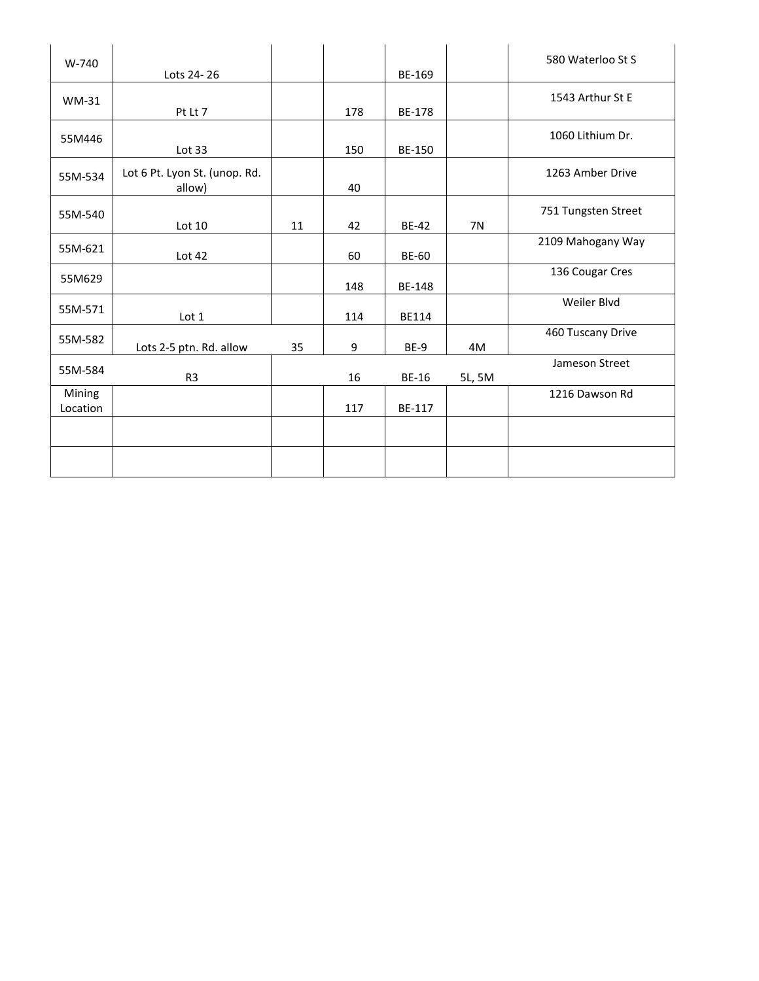| W-740              | Lots 24-26                              |    |     | BE-169        |           | 580 Waterloo St S   |
|--------------------|-----------------------------------------|----|-----|---------------|-----------|---------------------|
| <b>WM-31</b>       | Pt Lt 7                                 |    | 178 | <b>BE-178</b> |           | 1543 Arthur St E    |
| 55M446             | Lot 33                                  |    | 150 | BE-150        |           | 1060 Lithium Dr.    |
| 55M-534            | Lot 6 Pt. Lyon St. (unop. Rd.<br>allow) |    | 40  |               |           | 1263 Amber Drive    |
| 55M-540            | Lot 10                                  | 11 | 42  | <b>BE-42</b>  | <b>7N</b> | 751 Tungsten Street |
| 55M-621            | Lot 42                                  |    | 60  | <b>BE-60</b>  |           | 2109 Mahogany Way   |
| 55M629             |                                         |    | 148 | BE-148        |           | 136 Cougar Cres     |
| 55M-571            | Lot 1                                   |    | 114 | <b>BE114</b>  |           | Weiler Blvd         |
| 55M-582            | Lots 2-5 ptn. Rd. allow                 | 35 | 9   | BE-9          | 4M        | 460 Tuscany Drive   |
| 55M-584            | R <sub>3</sub>                          |    | 16  | <b>BE-16</b>  | 5L, 5M    | Jameson Street      |
| Mining<br>Location |                                         |    | 117 | BE-117        |           | 1216 Dawson Rd      |
|                    |                                         |    |     |               |           |                     |
|                    |                                         |    |     |               |           |                     |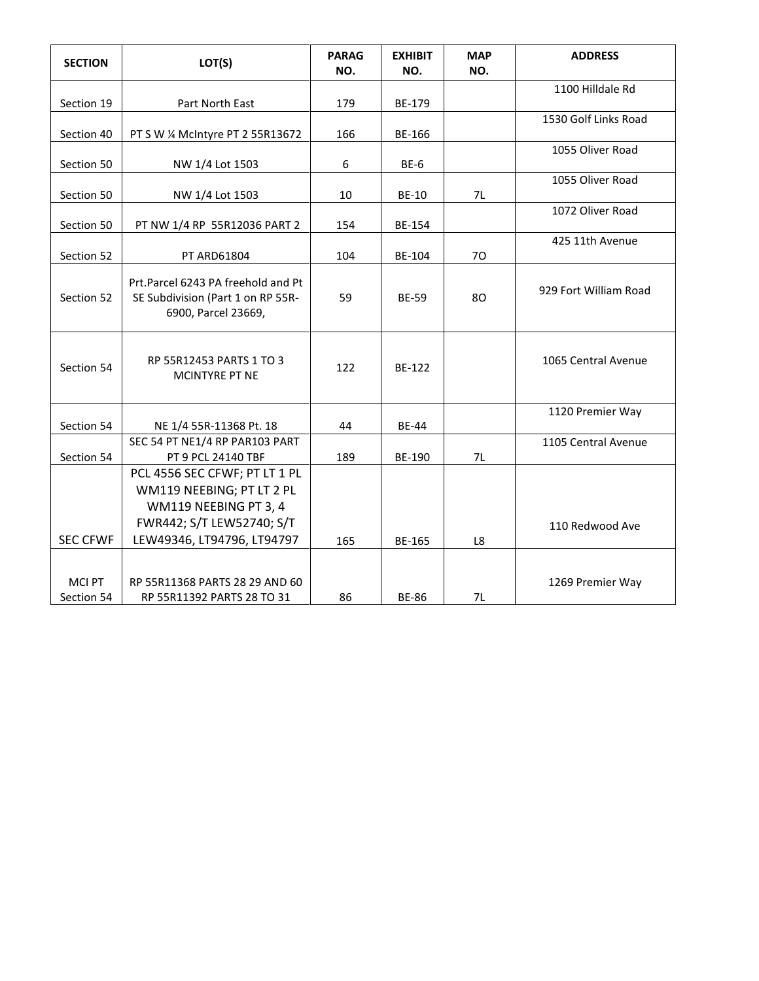| <b>SECTION</b>              | LOT(S)                                                                                         | <b>PARAG</b><br>NO. | <b>EXHIBIT</b><br>NO. | <b>MAP</b><br>NO. | <b>ADDRESS</b>        |
|-----------------------------|------------------------------------------------------------------------------------------------|---------------------|-----------------------|-------------------|-----------------------|
|                             |                                                                                                |                     |                       |                   | 1100 Hilldale Rd      |
| Section 19                  | Part North East                                                                                | 179                 | BE-179                |                   | 1530 Golf Links Road  |
| Section 40                  | PT S W % McIntyre PT 2 55R13672                                                                | 166                 | BE-166                |                   |                       |
| Section 50                  | NW 1/4 Lot 1503                                                                                | 6                   | BE-6                  |                   | 1055 Oliver Road      |
|                             |                                                                                                |                     |                       |                   | 1055 Oliver Road      |
| Section 50                  | NW 1/4 Lot 1503                                                                                | 10                  | <b>BE-10</b>          | 7L                |                       |
|                             |                                                                                                |                     |                       |                   | 1072 Oliver Road      |
| Section 50                  | PT NW 1/4 RP 55R12036 PART 2                                                                   | 154                 | BE-154                |                   |                       |
|                             |                                                                                                |                     |                       |                   | 425 11th Avenue       |
| Section 52                  | PT ARD61804                                                                                    | 104                 | BE-104                | 70                |                       |
| Section 52                  | Prt.Parcel 6243 PA freehold and Pt<br>SE Subdivision (Part 1 on RP 55R-<br>6900, Parcel 23669, | 59                  | <b>BE-59</b>          | 80                | 929 Fort William Road |
| Section 54                  | RP 55R12453 PARTS 1 TO 3<br><b>MCINTYRE PT NE</b>                                              | 122                 | BE-122                |                   | 1065 Central Avenue   |
|                             |                                                                                                |                     |                       |                   | 1120 Premier Way      |
| Section 54                  | NE 1/4 55R-11368 Pt. 18                                                                        | 44                  | <b>BE-44</b>          |                   |                       |
| Section 54                  | SEC 54 PT NE1/4 RP PAR103 PART<br>PT 9 PCL 24140 TBF                                           | 189                 | <b>BE-190</b>         | 7L                | 1105 Central Avenue   |
|                             | PCL 4556 SEC CFWF; PT LT 1 PL                                                                  |                     |                       |                   |                       |
|                             | WM119 NEEBING; PT LT 2 PL                                                                      |                     |                       |                   |                       |
|                             | WM119 NEEBING PT 3, 4                                                                          |                     |                       |                   |                       |
|                             | FWR442; S/T LEW52740; S/T                                                                      |                     |                       |                   |                       |
| <b>SEC CFWF</b>             | LEW49346, LT94796, LT94797                                                                     | 165                 | <b>BE-165</b>         | L8                | 110 Redwood Ave       |
|                             |                                                                                                |                     |                       |                   |                       |
| <b>MCI PT</b><br>Section 54 | RP 55R11368 PARTS 28 29 AND 60<br>RP 55R11392 PARTS 28 TO 31                                   | 86                  | <b>BE-86</b>          | 7L                | 1269 Premier Way      |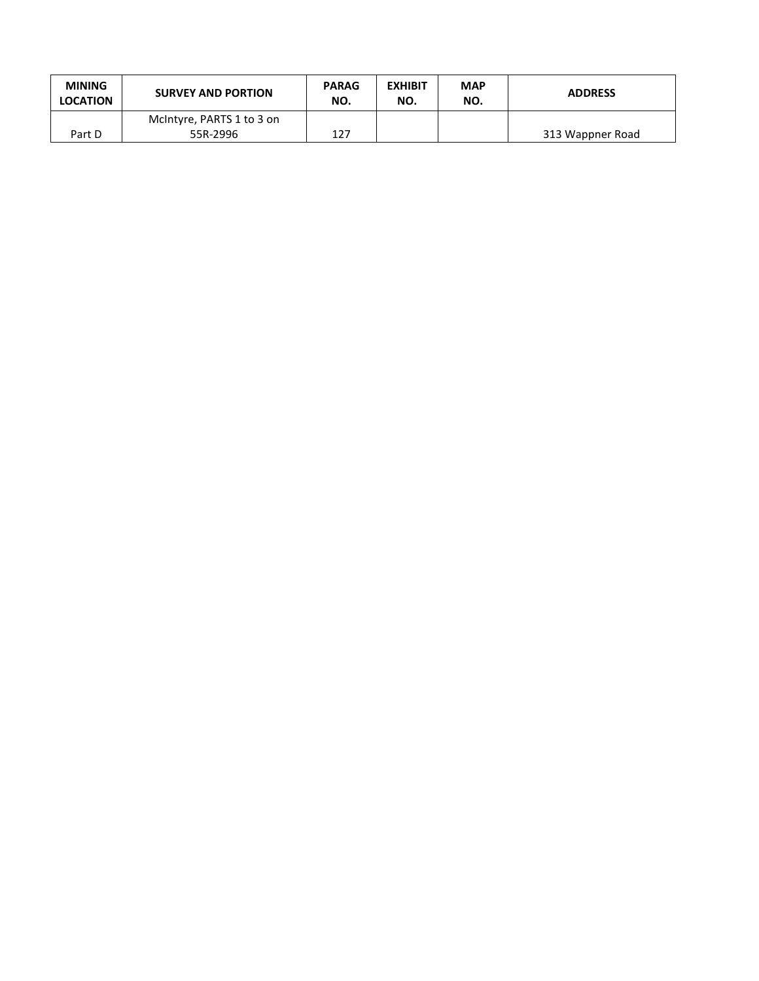| <b>MINING</b><br><b>LOCATION</b> | <b>SURVEY AND PORTION</b> | <b>PARAG</b><br>NO. | <b>EXHIBIT</b><br>NO. | <b>MAP</b><br>NO. | <b>ADDRESS</b>   |
|----------------------------------|---------------------------|---------------------|-----------------------|-------------------|------------------|
|                                  | McIntyre, PARTS 1 to 3 on |                     |                       |                   |                  |
| Part D                           | 55R-2996                  | 127                 |                       |                   | 313 Wappner Road |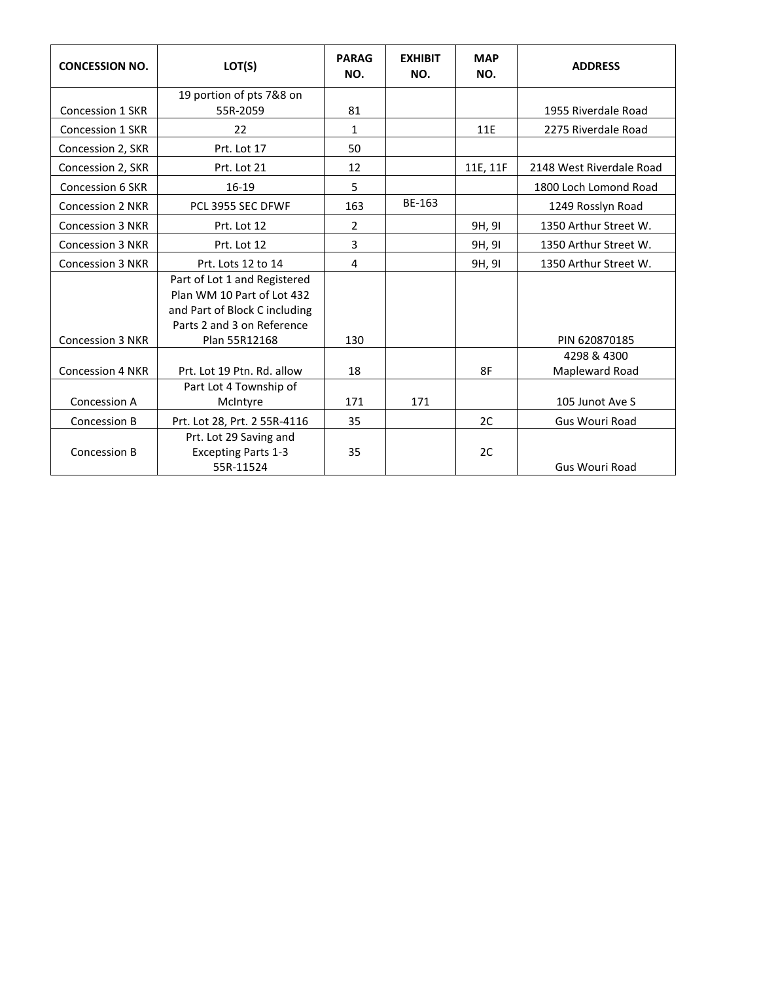| <b>CONCESSION NO.</b>   | LOT(S)                                      | <b>PARAG</b><br>NO. | <b>EXHIBIT</b><br>NO. | <b>MAP</b><br>NO. | <b>ADDRESS</b>           |
|-------------------------|---------------------------------------------|---------------------|-----------------------|-------------------|--------------------------|
|                         | 19 portion of pts 7&8 on                    |                     |                       |                   |                          |
| <b>Concession 1 SKR</b> | 55R-2059                                    | 81                  |                       |                   | 1955 Riverdale Road      |
| Concession 1 SKR        | 22                                          | $\mathbf{1}$        |                       | 11E               | 2275 Riverdale Road      |
| Concession 2, SKR       | Prt. Lot 17                                 | 50                  |                       |                   |                          |
| Concession 2, SKR       | Prt. Lot 21                                 | 12                  |                       | 11E, 11F          | 2148 West Riverdale Road |
| <b>Concession 6 SKR</b> | $16-19$                                     | 5                   |                       |                   | 1800 Loch Lomond Road    |
| <b>Concession 2 NKR</b> | PCL 3955 SEC DFWF                           | 163                 | BE-163                |                   | 1249 Rosslyn Road        |
| <b>Concession 3 NKR</b> | Prt. Lot 12                                 | $\overline{2}$      |                       | 9H, 9I            | 1350 Arthur Street W.    |
| <b>Concession 3 NKR</b> | Prt. Lot 12                                 | 3                   |                       | 9H, 9I            | 1350 Arthur Street W.    |
| <b>Concession 3 NKR</b> | Prt. Lots 12 to 14                          | 4                   |                       | 9H, 9I            | 1350 Arthur Street W.    |
|                         | Part of Lot 1 and Registered                |                     |                       |                   |                          |
|                         | Plan WM 10 Part of Lot 432                  |                     |                       |                   |                          |
|                         | and Part of Block C including               |                     |                       |                   |                          |
| <b>Concession 3 NKR</b> | Parts 2 and 3 on Reference<br>Plan 55R12168 | 130                 |                       |                   | PIN 620870185            |
|                         |                                             |                     |                       |                   | 4298 & 4300              |
| <b>Concession 4 NKR</b> | Prt. Lot 19 Ptn. Rd. allow                  | 18                  |                       | 8F                | Mapleward Road           |
|                         | Part Lot 4 Township of                      |                     |                       |                   |                          |
| Concession A            | McIntyre                                    | 171                 | 171                   |                   | 105 Junot Ave S          |
| Concession B            | Prt. Lot 28, Prt. 2 55R-4116                | 35                  |                       | 2C                | Gus Wouri Road           |
|                         | Prt. Lot 29 Saving and                      |                     |                       |                   |                          |
| Concession B            | <b>Excepting Parts 1-3</b>                  | 35                  |                       | 2C                |                          |
|                         | 55R-11524                                   |                     |                       |                   | <b>Gus Wouri Road</b>    |